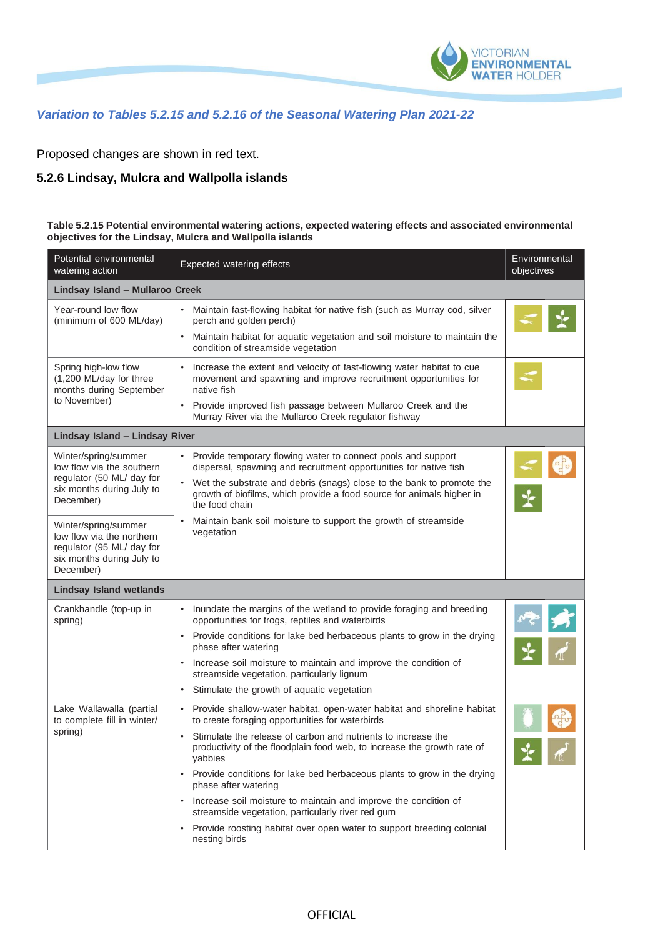

## *Variation to Tables 5.2.15 and 5.2.16 of the Seasonal Watering Plan 2021-22*

Proposed changes are shown in red text.

## **5.2.6 Lindsay, Mulcra and Wallpolla islands**

## **Table 5.2.15 Potential environmental watering actions, expected watering effects and associated environmental objectives for the Lindsay, Mulcra and Wallpolla islands**

| Potential environmental<br>watering action                                                                               | <b>Expected watering effects</b>                                                                                                                                                                             | Environmental<br>objectives |  |  |
|--------------------------------------------------------------------------------------------------------------------------|--------------------------------------------------------------------------------------------------------------------------------------------------------------------------------------------------------------|-----------------------------|--|--|
| Lindsay Island - Mullaroo Creek                                                                                          |                                                                                                                                                                                                              |                             |  |  |
| Year-round low flow<br>(minimum of 600 ML/day)                                                                           | Maintain fast-flowing habitat for native fish (such as Murray cod, silver<br>perch and golden perch)                                                                                                         |                             |  |  |
|                                                                                                                          | Maintain habitat for aquatic vegetation and soil moisture to maintain the<br>$\bullet$<br>condition of streamside vegetation                                                                                 |                             |  |  |
| Spring high-low flow<br>(1,200 ML/day for three<br>months during September                                               | Increase the extent and velocity of fast-flowing water habitat to cue<br>movement and spawning and improve recruitment opportunities for<br>native fish                                                      |                             |  |  |
| to November)                                                                                                             | Provide improved fish passage between Mullaroo Creek and the<br>$\bullet$<br>Murray River via the Mullaroo Creek regulator fishway                                                                           |                             |  |  |
| Lindsay Island - Lindsay River                                                                                           |                                                                                                                                                                                                              |                             |  |  |
| Winter/spring/summer<br>low flow via the southern<br>regulator (50 ML/ day for<br>six months during July to<br>December) | • Provide temporary flowing water to connect pools and support<br>dispersal, spawning and recruitment opportunities for native fish<br>Wet the substrate and debris (snags) close to the bank to promote the |                             |  |  |
|                                                                                                                          | growth of biofilms, which provide a food source for animals higher in<br>the food chain                                                                                                                      |                             |  |  |
| Winter/spring/summer<br>low flow via the northern<br>regulator (95 ML/ day for<br>six months during July to<br>December) | Maintain bank soil moisture to support the growth of streamside<br>vegetation                                                                                                                                |                             |  |  |
| <b>Lindsay Island wetlands</b>                                                                                           |                                                                                                                                                                                                              |                             |  |  |
| Crankhandle (top-up in<br>spring)                                                                                        | Inundate the margins of the wetland to provide foraging and breeding<br>$\bullet$<br>opportunities for frogs, reptiles and waterbirds                                                                        |                             |  |  |
|                                                                                                                          | Provide conditions for lake bed herbaceous plants to grow in the drying<br>$\bullet$<br>phase after watering                                                                                                 |                             |  |  |
|                                                                                                                          | Increase soil moisture to maintain and improve the condition of<br>streamside vegetation, particularly lignum                                                                                                |                             |  |  |
|                                                                                                                          | Stimulate the growth of aquatic vegetation<br>$\bullet$                                                                                                                                                      |                             |  |  |
| Lake Wallawalla (partial<br>to complete fill in winter/<br>spring)                                                       | • Provide shallow-water habitat, open-water habitat and shoreline habitat<br>to create foraging opportunities for waterbirds                                                                                 |                             |  |  |
|                                                                                                                          | Stimulate the release of carbon and nutrients to increase the<br>productivity of the floodplain food web, to increase the growth rate of<br>yabbies                                                          |                             |  |  |
|                                                                                                                          | • Provide conditions for lake bed herbaceous plants to grow in the drying<br>phase after watering                                                                                                            |                             |  |  |
|                                                                                                                          | Increase soil moisture to maintain and improve the condition of<br>streamside vegetation, particularly river red gum                                                                                         |                             |  |  |
|                                                                                                                          | Provide roosting habitat over open water to support breeding colonial<br>nesting birds                                                                                                                       |                             |  |  |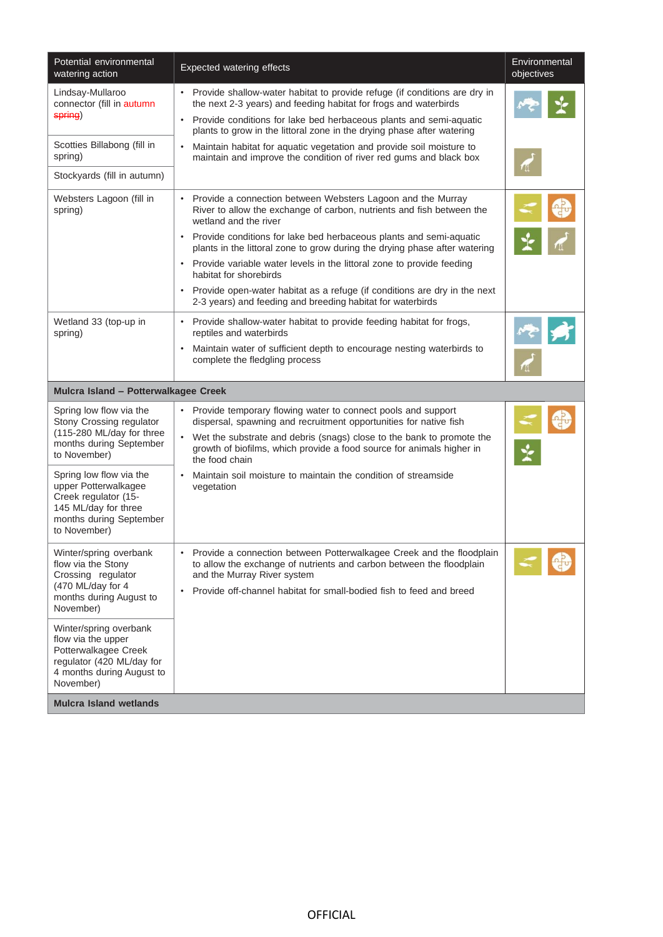| Potential environmental<br>watering action                                                                                                  | <b>Expected watering effects</b>                                                                                                                                                                                                                                     | Environmental<br>objectives |
|---------------------------------------------------------------------------------------------------------------------------------------------|----------------------------------------------------------------------------------------------------------------------------------------------------------------------------------------------------------------------------------------------------------------------|-----------------------------|
| Lindsay-Mullaroo<br>connector (fill in autumn<br>spring)                                                                                    | • Provide shallow-water habitat to provide refuge (if conditions are dry in<br>the next 2-3 years) and feeding habitat for frogs and waterbirds<br>Provide conditions for lake bed herbaceous plants and semi-aquatic<br>$\bullet$                                   |                             |
|                                                                                                                                             | plants to grow in the littoral zone in the drying phase after watering                                                                                                                                                                                               |                             |
| Scotties Billabong (fill in<br>spring)                                                                                                      | Maintain habitat for aquatic vegetation and provide soil moisture to<br>$\bullet$<br>maintain and improve the condition of river red gums and black box                                                                                                              |                             |
| Stockyards (fill in autumn)                                                                                                                 |                                                                                                                                                                                                                                                                      |                             |
| Websters Lagoon (fill in<br>spring)                                                                                                         | • Provide a connection between Websters Lagoon and the Murray<br>River to allow the exchange of carbon, nutrients and fish between the<br>wetland and the river                                                                                                      |                             |
|                                                                                                                                             | Provide conditions for lake bed herbaceous plants and semi-aquatic<br>plants in the littoral zone to grow during the drying phase after watering                                                                                                                     |                             |
|                                                                                                                                             | • Provide variable water levels in the littoral zone to provide feeding<br>habitat for shorebirds                                                                                                                                                                    |                             |
|                                                                                                                                             | • Provide open-water habitat as a refuge (if conditions are dry in the next<br>2-3 years) and feeding and breeding habitat for waterbirds                                                                                                                            |                             |
| Wetland 33 (top-up in<br>spring)                                                                                                            | Provide shallow-water habitat to provide feeding habitat for frogs,<br>$\bullet$<br>reptiles and waterbirds                                                                                                                                                          |                             |
|                                                                                                                                             | Maintain water of sufficient depth to encourage nesting waterbirds to<br>complete the fledgling process                                                                                                                                                              |                             |
| Mulcra Island - Potterwalkagee Creek                                                                                                        |                                                                                                                                                                                                                                                                      |                             |
| Spring low flow via the<br>Stony Crossing regulator                                                                                         | • Provide temporary flowing water to connect pools and support<br>dispersal, spawning and recruitment opportunities for native fish                                                                                                                                  |                             |
| (115-280 ML/day for three<br>months during September<br>to November)                                                                        | • Wet the substrate and debris (snags) close to the bank to promote the<br>growth of biofilms, which provide a food source for animals higher in<br>the food chain                                                                                                   |                             |
| Spring low flow via the<br>upper Potterwalkagee<br>Creek regulator (15-<br>145 ML/day for three<br>months during September<br>to November)  | Maintain soil moisture to maintain the condition of streamside<br>$\bullet$<br>vegetation                                                                                                                                                                            |                             |
| Winter/spring overbank<br>flow via the Stony<br>Crossing regulator<br>(470 ML/day for 4<br>months during August to<br>November)             | Provide a connection between Potterwalkagee Creek and the floodplain<br>$\bullet$<br>to allow the exchange of nutrients and carbon between the floodplain<br>and the Murray River system<br>Provide off-channel habitat for small-bodied fish to feed and breed<br>٠ |                             |
| Winter/spring overbank<br>flow via the upper<br>Potterwalkagee Creek<br>regulator (420 ML/day for<br>4 months during August to<br>November) |                                                                                                                                                                                                                                                                      |                             |
| <b>Mulcra Island wetlands</b>                                                                                                               |                                                                                                                                                                                                                                                                      |                             |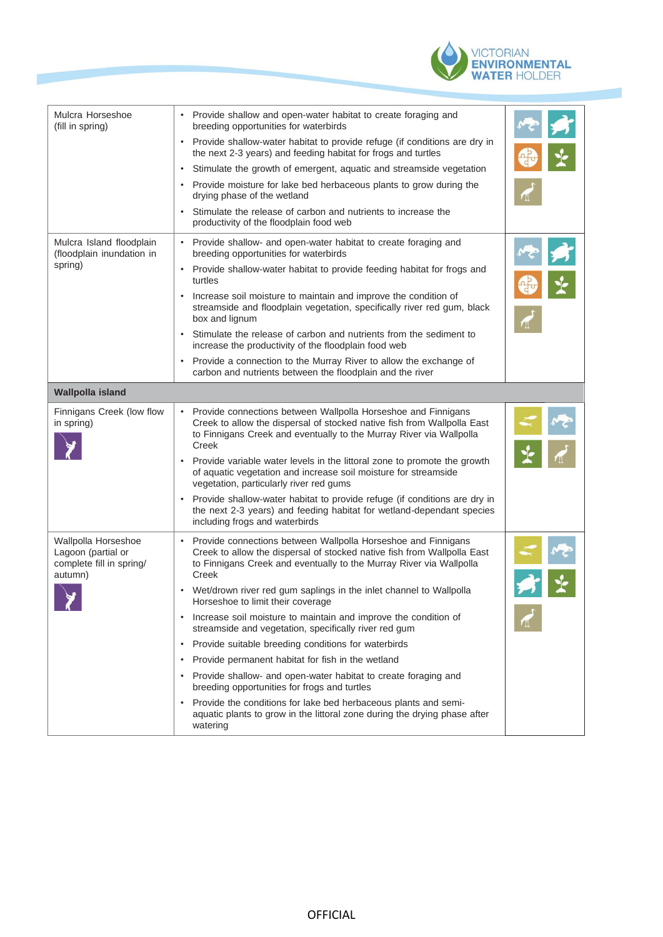

| Mulcra Horseshoe<br>(fill in spring)                                             | Provide shallow and open-water habitat to create foraging and<br>breeding opportunities for waterbirds                                                                                                                   |  |
|----------------------------------------------------------------------------------|--------------------------------------------------------------------------------------------------------------------------------------------------------------------------------------------------------------------------|--|
|                                                                                  | Provide shallow-water habitat to provide refuge (if conditions are dry in<br>the next 2-3 years) and feeding habitat for frogs and turtles                                                                               |  |
|                                                                                  | Stimulate the growth of emergent, aquatic and streamside vegetation<br>$\bullet$                                                                                                                                         |  |
|                                                                                  | Provide moisture for lake bed herbaceous plants to grow during the<br>drying phase of the wetland                                                                                                                        |  |
|                                                                                  | Stimulate the release of carbon and nutrients to increase the<br>productivity of the floodplain food web                                                                                                                 |  |
| Mulcra Island floodplain<br>(floodplain inundation in<br>spring)                 | Provide shallow- and open-water habitat to create foraging and<br>$\bullet$<br>breeding opportunities for waterbirds                                                                                                     |  |
|                                                                                  | Provide shallow-water habitat to provide feeding habitat for frogs and<br>$\bullet$<br>turtles                                                                                                                           |  |
|                                                                                  | Increase soil moisture to maintain and improve the condition of<br>$\bullet$<br>streamside and floodplain vegetation, specifically river red gum, black<br>box and lignum                                                |  |
|                                                                                  | Stimulate the release of carbon and nutrients from the sediment to<br>increase the productivity of the floodplain food web                                                                                               |  |
|                                                                                  | Provide a connection to the Murray River to allow the exchange of<br>carbon and nutrients between the floodplain and the river                                                                                           |  |
| <b>Wallpolla island</b>                                                          |                                                                                                                                                                                                                          |  |
| Finnigans Creek (low flow<br>in spring)                                          | Provide connections between Wallpolla Horseshoe and Finnigans<br>Creek to allow the dispersal of stocked native fish from Wallpolla East<br>to Finnigans Creek and eventually to the Murray River via Wallpolla<br>Creek |  |
|                                                                                  | Provide variable water levels in the littoral zone to promote the growth<br>of aquatic vegetation and increase soil moisture for streamside<br>vegetation, particularly river red gums                                   |  |
|                                                                                  | Provide shallow-water habitat to provide refuge (if conditions are dry in<br>the next 2-3 years) and feeding habitat for wetland-dependant species<br>including frogs and waterbirds                                     |  |
| Wallpolla Horseshoe<br>Lagoon (partial or<br>complete fill in spring/<br>autumn) | Provide connections between Wallpolla Horseshoe and Finnigans<br>Creek to allow the dispersal of stocked native fish from Wallpolla East<br>to Finnigans Creek and eventually to the Murray River via Wallpolla<br>Creek |  |
|                                                                                  | Wet/drown river red gum saplings in the inlet channel to Wallpolla<br>$\bullet$<br>Horseshoe to limit their coverage                                                                                                     |  |
|                                                                                  | Increase soil moisture to maintain and improve the condition of<br>$\bullet$<br>streamside and vegetation, specifically river red gum                                                                                    |  |
|                                                                                  | Provide suitable breeding conditions for waterbirds<br>$\bullet$                                                                                                                                                         |  |
|                                                                                  | Provide permanent habitat for fish in the wetland<br>٠                                                                                                                                                                   |  |
|                                                                                  | Provide shallow- and open-water habitat to create foraging and<br>٠<br>breeding opportunities for frogs and turtles                                                                                                      |  |
|                                                                                  | Provide the conditions for lake bed herbaceous plants and semi-<br>$\bullet$<br>aquatic plants to grow in the littoral zone during the drying phase after<br>watering                                                    |  |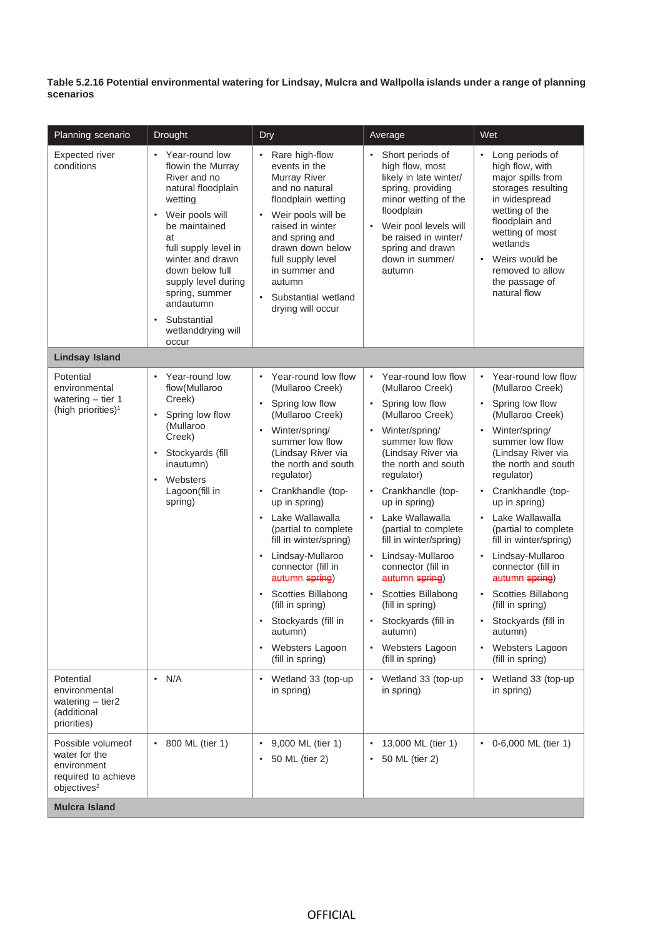Table 5.2.16 Potential environmental watering for Lindsay, Mulcra and Wallpolla islands under a range of planning **scenarios**

| Planning scenario                                                                                   | <b>Drought</b>                                                                                                                                                                                                                                                                                                 | Dry                                                                                                                                                                                                                                                                                                                                                                                                                                                                                                                                                                      | Average                                                                                                                                                                                                                                                                                                                                                                                                                                                                                                                                 | Wet                                                                                                                                                                                                                                                                                                                                                                                                                                                                                                                              |
|-----------------------------------------------------------------------------------------------------|----------------------------------------------------------------------------------------------------------------------------------------------------------------------------------------------------------------------------------------------------------------------------------------------------------------|--------------------------------------------------------------------------------------------------------------------------------------------------------------------------------------------------------------------------------------------------------------------------------------------------------------------------------------------------------------------------------------------------------------------------------------------------------------------------------------------------------------------------------------------------------------------------|-----------------------------------------------------------------------------------------------------------------------------------------------------------------------------------------------------------------------------------------------------------------------------------------------------------------------------------------------------------------------------------------------------------------------------------------------------------------------------------------------------------------------------------------|----------------------------------------------------------------------------------------------------------------------------------------------------------------------------------------------------------------------------------------------------------------------------------------------------------------------------------------------------------------------------------------------------------------------------------------------------------------------------------------------------------------------------------|
| <b>Expected river</b><br>conditions                                                                 | Year-round low<br>flowin the Murray<br>River and no<br>natural floodplain<br>wetting<br>Weir pools will<br>be maintained<br>at<br>full supply level in<br>winter and drawn<br>down below full<br>supply level during<br>spring, summer<br>andautumn<br>Substantial<br>$\bullet$<br>wetlanddrying will<br>occur | Rare high-flow<br>$\bullet$<br>events in the<br>Murray River<br>and no natural<br>floodplain wetting<br>Weir pools will be<br>raised in winter<br>and spring and<br>drawn down below<br>full supply level<br>in summer and<br>autumn<br>Substantial wetland<br>$\bullet$<br>drying will occur                                                                                                                                                                                                                                                                            | Short periods of<br>high flow, most<br>likely in late winter/<br>spring, providing<br>minor wetting of the<br>floodplain<br>Weir pool levels will<br>be raised in winter/<br>spring and drawn<br>down in summer/<br>autumn                                                                                                                                                                                                                                                                                                              | Long periods of<br>high flow, with<br>major spills from<br>storages resulting<br>in widespread<br>wetting of the<br>floodplain and<br>wetting of most<br>wetlands<br>Weirs would be<br>$\bullet$<br>removed to allow<br>the passage of<br>natural flow                                                                                                                                                                                                                                                                           |
| <b>Lindsay Island</b>                                                                               |                                                                                                                                                                                                                                                                                                                |                                                                                                                                                                                                                                                                                                                                                                                                                                                                                                                                                                          |                                                                                                                                                                                                                                                                                                                                                                                                                                                                                                                                         |                                                                                                                                                                                                                                                                                                                                                                                                                                                                                                                                  |
| Potential<br>environmental<br>watering $-$ tier 1<br>(high priorities) <sup>1</sup>                 | Year-round low<br>flow(Mullaroo<br>Creek)<br>Spring low flow<br>(Mullaroo<br>Creek)<br>Stockyards (fill<br>$\bullet$<br>inautumn)<br>Websters<br>Lagoon(fill in<br>spring)                                                                                                                                     | Year-round low flow<br>$\bullet$<br>(Mullaroo Creek)<br>Spring low flow<br>$\bullet$<br>(Mullaroo Creek)<br>Winter/spring/<br>٠<br>summer low flow<br>(Lindsay River via<br>the north and south<br>regulator)<br>Crankhandle (top-<br>$\bullet$<br>up in spring)<br>Lake Wallawalla<br>$\bullet$<br>(partial to complete<br>fill in winter/spring)<br>Lindsay-Mullaroo<br>$\bullet$<br>connector (fill in<br>autumn spring)<br>Scotties Billabong<br>$\bullet$<br>(fill in spring)<br>Stockyards (fill in<br>autumn)<br>Websters Lagoon<br>$\bullet$<br>(fill in spring) | Year-round low flow<br>$\bullet$<br>(Mullaroo Creek)<br>Spring low flow<br>$\bullet$<br>(Mullaroo Creek)<br>• Winter/spring/<br>summer low flow<br>(Lindsay River via<br>the north and south<br>regulator)<br>Crankhandle (top-<br>$\bullet$<br>up in spring)<br>Lake Wallawalla<br>$\bullet$<br>(partial to complete<br>fill in winter/spring)<br>Lindsay-Mullaroo<br>connector (fill in<br>autumn spring)<br><b>Scotties Billabong</b><br>(fill in spring)<br>Stockyards (fill in<br>autumn)<br>• Websters Lagoon<br>(fill in spring) | • Year-round low flow<br>(Mullaroo Creek)<br>Spring low flow<br>$\bullet$<br>(Mullaroo Creek)<br>• Winter/spring/<br>summer low flow<br>(Lindsay River via<br>the north and south<br>regulator)<br>Crankhandle (top-<br>$\bullet$<br>up in spring)<br>Lake Wallawalla<br>$\bullet$<br>(partial to complete<br>fill in winter/spring)<br>Lindsay-Mullaroo<br>$\bullet$<br>connector (fill in<br>autumn spring)<br>Scotties Billabong<br>(fill in spring)<br>Stockyards (fill in<br>autumn)<br>Websters Lagoon<br>(fill in spring) |
| Potential<br>environmental<br>watering $-$ tier2<br>(additional<br>priorities)                      | $\cdot$ N/A                                                                                                                                                                                                                                                                                                    | Wetland 33 (top-up<br>$\bullet$<br>in spring)                                                                                                                                                                                                                                                                                                                                                                                                                                                                                                                            | Wetland 33 (top-up<br>in spring)                                                                                                                                                                                                                                                                                                                                                                                                                                                                                                        | Wetland 33 (top-up<br>$\bullet$<br>in spring)                                                                                                                                                                                                                                                                                                                                                                                                                                                                                    |
| Possible volumeof<br>water for the<br>environment<br>required to achieve<br>objectives <sup>2</sup> | • 800 ML (tier 1)                                                                                                                                                                                                                                                                                              | 9,000 ML (tier 1)<br>$\bullet$<br>50 ML (tier 2)<br>$\bullet$                                                                                                                                                                                                                                                                                                                                                                                                                                                                                                            | 13,000 ML (tier 1)<br>50 ML (tier 2)                                                                                                                                                                                                                                                                                                                                                                                                                                                                                                    | 0-6,000 ML (tier 1)<br>$\bullet$                                                                                                                                                                                                                                                                                                                                                                                                                                                                                                 |
| <b>Mulcra Island</b>                                                                                |                                                                                                                                                                                                                                                                                                                |                                                                                                                                                                                                                                                                                                                                                                                                                                                                                                                                                                          |                                                                                                                                                                                                                                                                                                                                                                                                                                                                                                                                         |                                                                                                                                                                                                                                                                                                                                                                                                                                                                                                                                  |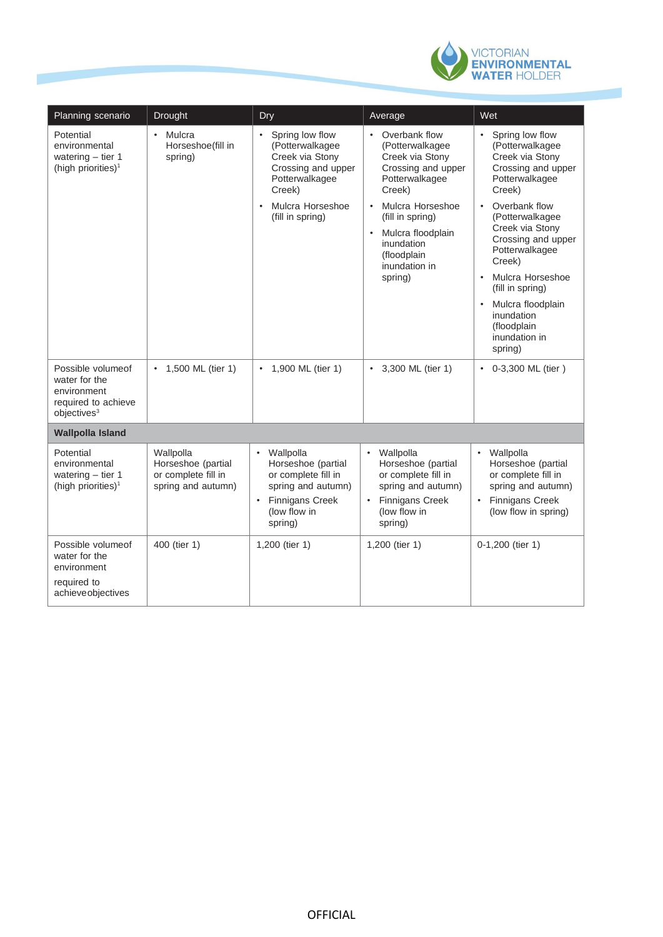

| Planning scenario                                                                                    | <b>Drought</b>                                                               | Dry                                                                                                                                                                       | Average                                                                                                                                                                                                                                    | Wet                                                                                                                                                                                                                                                                                                                                                                           |
|------------------------------------------------------------------------------------------------------|------------------------------------------------------------------------------|---------------------------------------------------------------------------------------------------------------------------------------------------------------------------|--------------------------------------------------------------------------------------------------------------------------------------------------------------------------------------------------------------------------------------------|-------------------------------------------------------------------------------------------------------------------------------------------------------------------------------------------------------------------------------------------------------------------------------------------------------------------------------------------------------------------------------|
| Potential<br>environmental<br>watering $-$ tier 1<br>(high priorities) <sup>1</sup>                  | Mulcra<br>$\bullet$<br>Horseshoe(fill in<br>spring)                          | Spring low flow<br>$\bullet$<br>(Potterwalkagee<br>Creek via Stony<br>Crossing and upper<br>Potterwalkagee<br>Creek)<br>Mulcra Horseshoe<br>$\bullet$<br>(fill in spring) | • Overbank flow<br>(Potterwalkagee<br>Creek via Stony<br>Crossing and upper<br>Potterwalkagee<br>Creek)<br>Mulcra Horseshoe<br>$\bullet$<br>(fill in spring)<br>Mulcra floodplain<br>inundation<br>(floodplain<br>inundation in<br>spring) | Spring low flow<br>(Potterwalkagee<br>Creek via Stony<br>Crossing and upper<br>Potterwalkagee<br>Creek)<br>Overbank flow<br>$\bullet$<br>(Potterwalkagee<br>Creek via Stony<br>Crossing and upper<br>Potterwalkagee<br>Creek)<br>Mulcra Horseshoe<br>$\bullet$<br>(fill in spring)<br>Mulcra floodplain<br>$\bullet$<br>inundation<br>(floodplain<br>inundation in<br>spring) |
| Possible volume of<br>water for the<br>environment<br>required to achieve<br>objectives <sup>3</sup> | • 1,500 ML (tier 1)                                                          | 1,900 ML (tier 1)<br>$\bullet$                                                                                                                                            | • 3,300 ML (tier 1)                                                                                                                                                                                                                        | • 0-3,300 ML (tier)                                                                                                                                                                                                                                                                                                                                                           |
| <b>Wallpolla Island</b>                                                                              |                                                                              |                                                                                                                                                                           |                                                                                                                                                                                                                                            |                                                                                                                                                                                                                                                                                                                                                                               |
| Potential<br>environmental<br>watering $-$ tier 1<br>(high priorities) <sup>1</sup>                  | Wallpolla<br>Horseshoe (partial<br>or complete fill in<br>spring and autumn) | Wallpolla<br>$\bullet$<br>Horseshoe (partial<br>or complete fill in<br>spring and autumn)<br><b>Finnigans Creek</b><br>$\bullet$<br>(low flow in<br>spring)               | Wallpolla<br>$\bullet$<br>Horseshoe (partial<br>or complete fill in<br>spring and autumn)<br><b>Finnigans Creek</b><br>$\bullet$<br>(low flow in<br>spring)                                                                                | • Wallpolla<br>Horseshoe (partial<br>or complete fill in<br>spring and autumn)<br>• Finnigans Creek<br>(low flow in spring)                                                                                                                                                                                                                                                   |
| Possible volume of<br>water for the<br>environment<br>required to<br>achieveobjectives               | 400 (tier 1)                                                                 | 1,200 (tier 1)                                                                                                                                                            | 1,200 (tier 1)                                                                                                                                                                                                                             | 0-1,200 (tier 1)                                                                                                                                                                                                                                                                                                                                                              |